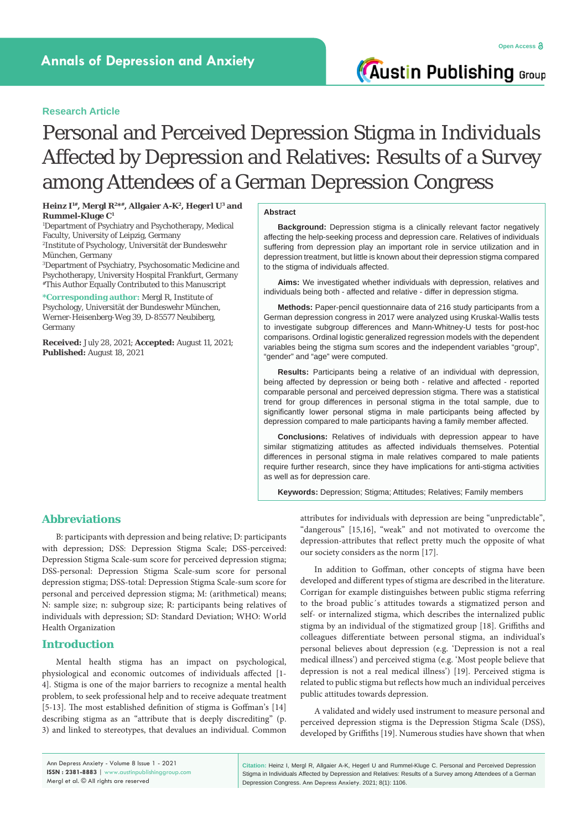**Austin Publishing Group** 

### **Research Article**

# Personal and Perceived Depression Stigma in Individuals Affected by Depression and Relatives: Results of a Survey among Attendees of a German Depression Congress

Heinz I<sup>1#</sup>, Mergl R<sup>2\*#</sup>, Allgaier A-K<sup>2</sup>, Hegerl U<sup>3</sup> and **Rummel-Kluge C1**

1 Department of Psychiatry and Psychotherapy, Medical Faculty, University of Leipzig, Germany 2 Institute of Psychology, Universität der Bundeswehr

München, Germany 3 Department of Psychiatry, Psychosomatic Medicine and

Psychotherapy, University Hospital Frankfurt, Germany #This Author Equally Contributed to this Manuscript

**\*Corresponding author:** Mergl R, Institute of Psychology, Universität der Bundeswehr München, Werner-Heisenberg-Weg 39, D-85577 Neubiberg, Germany

**Received:** July 28, 2021; **Accepted:** August 11, 2021; **Published:** August 18, 2021

#### **Abstract**

**Background:** Depression stigma is a clinically relevant factor negatively affecting the help-seeking process and depression care. Relatives of individuals suffering from depression play an important role in service utilization and in depression treatment, but little is known about their depression stigma compared to the stigma of individuals affected.

**Aims:** We investigated whether individuals with depression, relatives and individuals being both - affected and relative - differ in depression stigma.

**Methods:** Paper-pencil questionnaire data of 216 study participants from a German depression congress in 2017 were analyzed using Kruskal-Wallis tests to investigate subgroup differences and Mann-Whitney-U tests for post-hoc comparisons. Ordinal logistic generalized regression models with the dependent variables being the stigma sum scores and the independent variables "group", "gender" and "age" were computed.

**Results:** Participants being a relative of an individual with depression, being affected by depression or being both - relative and affected - reported comparable personal and perceived depression stigma. There was a statistical trend for group differences in personal stigma in the total sample, due to significantly lower personal stigma in male participants being affected by depression compared to male participants having a family member affected.

**Conclusions:** Relatives of individuals with depression appear to have similar stigmatizing attitudes as affected individuals themselves. Potential differences in personal stigma in male relatives compared to male patients require further research, since they have implications for anti-stigma activities as well as for depression care.

**Keywords:** Depression; Stigma; Attitudes; Relatives; Family members

# **Abbreviations**

B: participants with depression and being relative; D: participants with depression; DSS: Depression Stigma Scale; DSS-perceived: Depression Stigma Scale-sum score for perceived depression stigma; DSS-personal: Depression Stigma Scale-sum score for personal depression stigma; DSS-total: Depression Stigma Scale-sum score for personal and perceived depression stigma; M: (arithmetical) means; N: sample size; n: subgroup size; R: participants being relatives of individuals with depression; SD: Standard Deviation; WHO: World Health Organization

# **Introduction**

Mental health stigma has an impact on psychological, physiological and economic outcomes of individuals affected [1- 4]. Stigma is one of the major barriers to recognize a mental health problem, to seek professional help and to receive adequate treatment [5-13]. The most established definition of stigma is Goffman's [14] describing stigma as an "attribute that is deeply discrediting" (p. 3) and linked to stereotypes, that devalues an individual. Common

attributes for individuals with depression are being "unpredictable", "dangerous" [15,16], "weak" and not motivated to overcome the depression-attributes that reflect pretty much the opposite of what our society considers as the norm [17].

In addition to Goffman, other concepts of stigma have been developed and different types of stigma are described in the literature. Corrigan for example distinguishes between public stigma referring to the broad public´s attitudes towards a stigmatized person and self- or internalized stigma, which describes the internalized public stigma by an individual of the stigmatized group [18]. Griffiths and colleagues differentiate between personal stigma, an individual's personal believes about depression (e.g. 'Depression is not a real medical illness') and perceived stigma (e.g. 'Most people believe that depression is not a real medical illness') [19]. Perceived stigma is related to public stigma but reflects how much an individual perceives public attitudes towards depression.

A validated and widely used instrument to measure personal and perceived depression stigma is the Depression Stigma Scale (DSS), developed by Griffiths [19]. Numerous studies have shown that when

**Citation:** Heinz I, Mergl R, Allgaier A-K, Hegerl U and Rummel-Kluge C. Personal and Perceived Depression Stigma in Individuals Affected by Depression and Relatives: Results of a Survey among Attendees of a German Depression Congress. Ann Depress Anxiety. 2021; 8(1): 1106.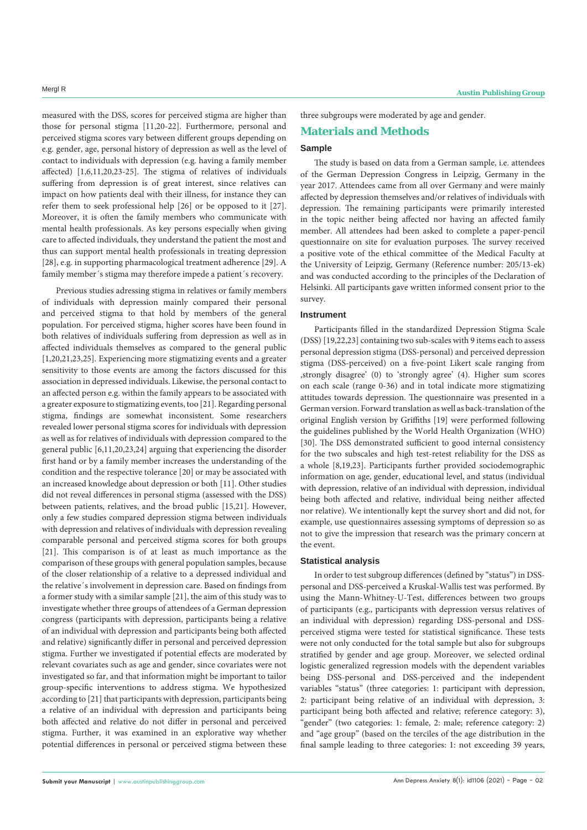measured with the DSS, scores for perceived stigma are higher than those for personal stigma [11,20-22]. Furthermore, personal and perceived stigma scores vary between different groups depending on e.g. gender, age, personal history of depression as well as the level of contact to individuals with depression (e.g. having a family member affected) [1,6,11,20,23-25]. The stigma of relatives of individuals suffering from depression is of great interest, since relatives can impact on how patients deal with their illness, for instance they can refer them to seek professional help [26] or be opposed to it [27]. Moreover, it is often the family members who communicate with mental health professionals. As key persons especially when giving care to affected individuals, they understand the patient the most and thus can support mental health professionals in treating depression [28], e.g. in supporting pharmacological treatment adherence [29]. A family member's stigma may therefore impede a patient's recovery.

Previous studies adressing stigma in relatives or family members of individuals with depression mainly compared their personal and perceived stigma to that hold by members of the general population. For perceived stigma, higher scores have been found in both relatives of individuals suffering from depression as well as in affected individuals themselves as compared to the general public [1,20,21,23,25]. Experiencing more stigmatizing events and a greater sensitivity to those events are among the factors discussed for this association in depressed individuals. Likewise, the personal contact to an affected person e.g. within the family appears to be associated with a greater exposure to stigmatizing events, too [21]. Regarding personal stigma, findings are somewhat inconsistent. Some researchers revealed lower personal stigma scores for individuals with depression as well as for relatives of individuals with depression compared to the general public [6,11,20,23,24] arguing that experiencing the disorder first hand or by a family member increases the understanding of the condition and the respective tolerance [20] or may be associated with an increased knowledge about depression or both [11]. Other studies did not reveal differences in personal stigma (assessed with the DSS) between patients, relatives, and the broad public [15,21]. However, only a few studies compared depression stigma between individuals with depression and relatives of individuals with depression revealing comparable personal and perceived stigma scores for both groups [21]. This comparison is of at least as much importance as the comparison of these groups with general population samples, because of the closer relationship of a relative to a depressed individual and the relative´s involvement in depression care. Based on findings from a former study with a similar sample [21], the aim of this study was to investigate whether three groups of attendees of a German depression congress (participants with depression, participants being a relative of an individual with depression and participants being both affected and relative) significantly differ in personal and perceived depression stigma. Further we investigated if potential effects are moderated by relevant covariates such as age and gender, since covariates were not investigated so far, and that information might be important to tailor group-specific interventions to address stigma. We hypothesized according to [21] that participants with depression, participants being a relative of an individual with depression and participants being both affected and relative do not differ in personal and perceived stigma. Further, it was examined in an explorative way whether potential differences in personal or perceived stigma between these three subgroups were moderated by age and gender.

### **Materials and Methods**

#### **Sample**

The study is based on data from a German sample, i.e. attendees of the German Depression Congress in Leipzig, Germany in the year 2017. Attendees came from all over Germany and were mainly affected by depression themselves and/or relatives of individuals with depression. The remaining participants were primarily interested in the topic neither being affected nor having an affected family member. All attendees had been asked to complete a paper-pencil questionnaire on site for evaluation purposes. The survey received a positive vote of the ethical committee of the Medical Faculty at the University of Leipzig, Germany (Reference number: 205/13-ek) and was conducted according to the principles of the Declaration of Helsinki. All participants gave written informed consent prior to the survey.

#### **Instrument**

Participants filled in the standardized Depression Stigma Scale (DSS) [19,22,23] containing two sub-scales with 9 items each to assess personal depression stigma (DSS-personal) and perceived depression stigma (DSS-perceived) on a five-point Likert scale ranging from , strongly disagree' (0) to 'strongly agree' (4). Higher sum scores on each scale (range 0-36) and in total indicate more stigmatizing attitudes towards depression. The questionnaire was presented in a German version. Forward translation as well as back-translation of the original English version by Griffiths [19] were performed following the guidelines published by the World Health Organization (WHO) [30]. The DSS demonstrated sufficient to good internal consistency for the two subscales and high test-retest reliability for the DSS as a whole [8,19,23]. Participants further provided sociodemographic information on age, gender, educational level, and status (individual with depression, relative of an individual with depression, individual being both affected and relative, individual being neither affected nor relative). We intentionally kept the survey short and did not, for example, use questionnaires assessing symptoms of depression so as not to give the impression that research was the primary concern at the event.

#### **Statistical analysis**

In order to test subgroup differences (defined by "status") in DSSpersonal and DSS-perceived a Kruskal-Wallis test was performed. By using the Mann-Whitney-U-Test, differences between two groups of participants (e.g., participants with depression versus relatives of an individual with depression) regarding DSS-personal and DSSperceived stigma were tested for statistical significance. These tests were not only conducted for the total sample but also for subgroups stratified by gender and age group. Moreover, we selected ordinal logistic generalized regression models with the dependent variables being DSS-personal and DSS-perceived and the independent variables "status" (three categories: 1: participant with depression, 2: participant being relative of an individual with depression, 3: participant being both affected and relative; reference category: 3), "gender" (two categories: 1: female, 2: male; reference category: 2) and "age group" (based on the terciles of the age distribution in the final sample leading to three categories: 1: not exceeding 39 years,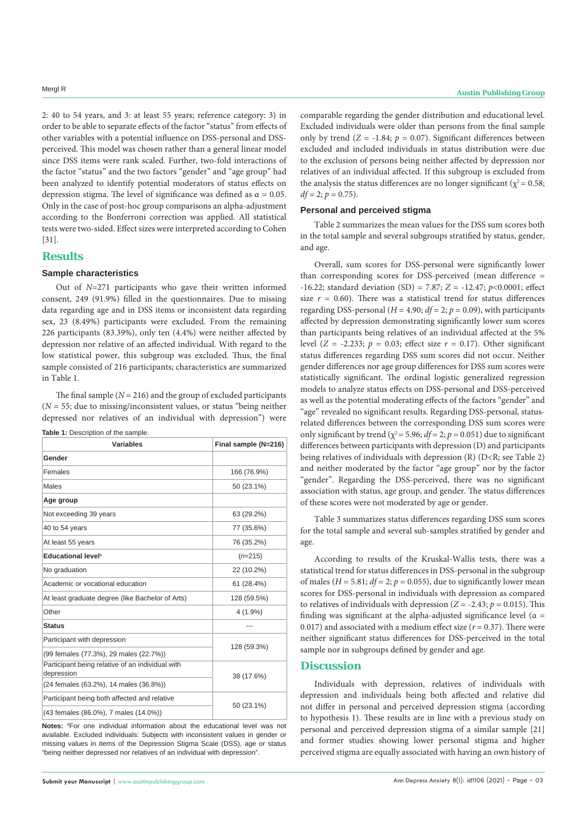2: 40 to 54 years, and 3: at least 55 years; reference category: 3) in order to be able to separate effects of the factor "status" from effects of other variables with a potential influence on DSS-personal and DSSperceived. This model was chosen rather than a general linear model since DSS items were rank scaled. Further, two-fold interactions of the factor "status" and the two factors "gender" and "age group" had been analyzed to identify potential moderators of status effects on depression stigma. The level of significance was defined as  $\alpha = 0.05$ . Only in the case of post-hoc group comparisons an alpha-adjustment according to the Bonferroni correction was applied. All statistical tests were two-sided. Effect sizes were interpreted according to Cohen [31].

# **Results**

#### **Sample characteristics**

Table 1: Description of the sample.

Out of *N*=271 participants who gave their written informed consent, 249 (91.9%) filled in the questionnaires. Due to missing data regarding age and in DSS items or inconsistent data regarding sex, 23 (8.49%) participants were excluded. From the remaining 226 participants (83.39%), only ten (4.4%) were neither affected by depression nor relative of an affected individual. With regard to the low statistical power, this subgroup was excluded. Thus, the final sample consisted of 216 participants; characteristics are summarized in Table 1.

The final sample  $(N = 216)$  and the group of excluded participants  $(N = 55$ ; due to missing/inconsistent values, or status "being neither depressed nor relatives of an individual with depression") were

| <b>Variables</b>                                               | Final sample (N=216) |  |  |
|----------------------------------------------------------------|----------------------|--|--|
| Gender                                                         |                      |  |  |
| Females                                                        | 166 (76.9%)          |  |  |
| Males                                                          | 50 (23.1%)           |  |  |
| Age group                                                      |                      |  |  |
| Not exceeding 39 years                                         | 63 (29.2%)           |  |  |
| 40 to 54 years                                                 | 77 (35.6%)           |  |  |
| At least 55 years                                              | 76 (35.2%)           |  |  |
| Educational level <sup>a</sup>                                 | $(n=215)$            |  |  |
| No graduation                                                  | 22 (10.2%)           |  |  |
| Academic or vocational education                               | 61 (28.4%)           |  |  |
| At least graduate degree (like Bachelor of Arts)               | 128 (59.5%)          |  |  |
| Other                                                          | $4(1.9\%)$           |  |  |
| <b>Status</b>                                                  |                      |  |  |
| Participant with depression                                    |                      |  |  |
| (99 females (77.3%), 29 males (22.7%))                         | 128 (59.3%)          |  |  |
| Participant being relative of an individual with<br>depression | 38 (17.6%)           |  |  |
| (24 females (63.2%), 14 males (36.8%))                         |                      |  |  |
| Participant being both affected and relative                   | 50 (23.1%)           |  |  |
| (43 females (86.0%), 7 males (14.0%))                          |                      |  |  |

Notes: <sup>a</sup>For one individual information about the educational level was not available. Excluded individuals: Subjects with inconsistent values in gender or missing values in items of the Depression Stigma Scale (DSS), age or status "being neither depressed nor relatives of an individual with depression".

comparable regarding the gender distribution and educational level. Excluded individuals were older than persons from the final sample only by trend  $(Z = -1.84; p = 0.07)$ . Significant differences between excluded and included individuals in status distribution were due to the exclusion of persons being neither affected by depression nor relatives of an individual affected. If this subgroup is excluded from the analysis the status differences are no longer significant ( $\chi^2$  = 0.58;  $df = 2$ ;  $p = 0.75$ ).

# **Personal and perceived stigma**

Table 2 summarizes the mean values for the DSS sum scores both in the total sample and several subgroups stratified by status, gender, and age.

Overall, sum scores for DSS-personal were significantly lower than corresponding scores for DSS-perceived (mean difference = -16.22; standard deviation (SD) = 7.87; *Z* = -12.47; *p*<0.0001; effect size  $r = 0.60$ ). There was a statistical trend for status differences regarding DSS-personal ( $H = 4.90$ ;  $df = 2$ ;  $p = 0.09$ ), with participants affected by depression demonstrating significantly lower sum scores than participants being relatives of an individual affected at the 5% level ( $Z = -2.233$ ;  $p = 0.03$ ; effect size  $r = 0.17$ ). Other significant status differences regarding DSS sum scores did not occur. Neither gender differences nor age group differences for DSS sum scores were statistically significant. The ordinal logistic generalized regression models to analyze status effects on DSS-personal and DSS-perceived as well as the potential moderating effects of the factors "gender" and "age" revealed no significant results. Regarding DSS-personal, statusrelated differences between the corresponding DSS sum scores were only significant by trend ( $\chi^2$  = 5.96;  $df$  = 2;  $p$  = 0.051) due to significant differences between participants with depression (D) and participants being relatives of individuals with depression (R) (D<R; see Table 2) and neither moderated by the factor "age group" nor by the factor "gender". Regarding the DSS-perceived, there was no significant association with status, age group, and gender. The status differences of these scores were not moderated by age or gender.

Table 3 summarizes status differences regarding DSS sum scores for the total sample and several sub-samples stratified by gender and age.

According to results of the Kruskal-Wallis tests, there was a statistical trend for status differences in DSS-personal in the subgroup of males ( $H = 5.81$ ;  $df = 2$ ;  $p = 0.055$ ), due to significantly lower mean scores for DSS-personal in individuals with depression as compared to relatives of individuals with depression ( $Z = -2.43$ ;  $p = 0.015$ ). This finding was significant at the alpha-adjusted significance level ( $\alpha$  = 0.017) and associated with a medium effect size  $(r = 0.37)$ . There were neither significant status differences for DSS-perceived in the total sample nor in subgroups defined by gender and age.

### **Discussion**

Individuals with depression, relatives of individuals with depression and individuals being both affected and relative did not differ in personal and perceived depression stigma (according to hypothesis 1). These results are in line with a previous study on personal and perceived depression stigma of a similar sample [21] and former studies showing lower personal stigma and higher perceived stigma are equally associated with having an own history of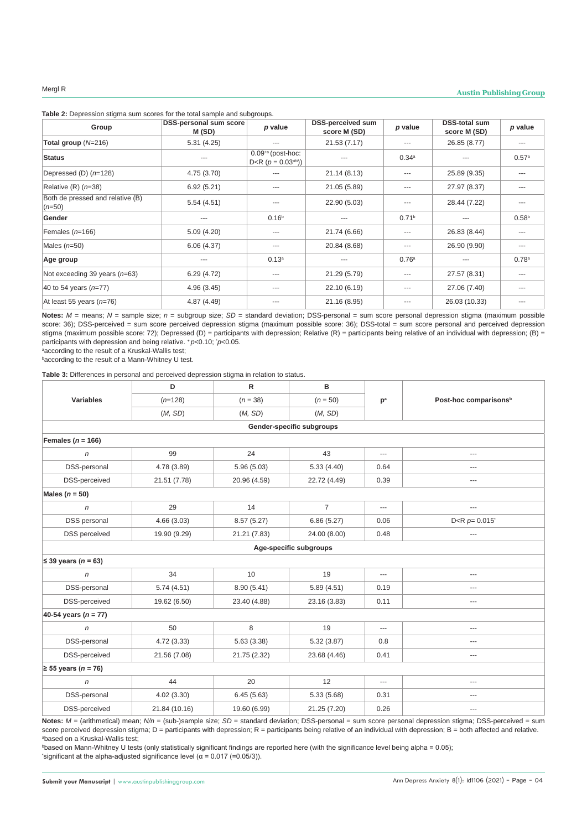| Table 2: Depression stigma sum scores for the total sample and subgroups. |  |
|---------------------------------------------------------------------------|--|
|---------------------------------------------------------------------------|--|

| Group                                        | <b>DSS-personal sum score</b><br>M (SD) | p value                                                | <b>DSS-perceived sum</b><br>score M (SD) | p value           | <b>DSS-total sum</b><br>score M (SD) | p value           |
|----------------------------------------------|-----------------------------------------|--------------------------------------------------------|------------------------------------------|-------------------|--------------------------------------|-------------------|
| Total group $(N=216)$                        | 5.31(4.25)                              |                                                        | 21.53 (7.17)                             | $---$             | 26.85 (8.77)                         | ---               |
| <b>Status</b>                                | ---                                     | $0.09^{*a}$ (post-hoc:<br>$D < R$ ( $p = 0.03^{*b}$ )) |                                          | 0.34a             |                                      | 0.57a             |
| Depressed (D) $(n=128)$                      | 4.75 (3.70)                             |                                                        | 21.14 (8.13)                             | $---$             | 25.89 (9.35)                         | $---$             |
| Relative $(R)$ ( $n=38$ )                    | 6.92(5.21)                              | ---                                                    | 21.05 (5.89)                             | $--$              | 27.97 (8.37)                         | $---$             |
| Both de pressed and relative (B)<br>$(n=50)$ | 5.54(4.51)                              |                                                        | 22.90 (5.03)                             | ---               | 28.44 (7.22)                         | ---               |
| Gender                                       | ---                                     | 0.16 <sup>b</sup>                                      | ---                                      | 0.71 <sup>b</sup> | ---                                  | 0.58 <sup>b</sup> |
| Females $(n=166)$                            | 5.09(4.20)                              | $---$                                                  | 21.74 (6.66)                             | $---$             | 26.83 (8.44)                         | $---$             |
| Males $(n=50)$                               | 6.06(4.37)                              | $---$                                                  | 20.84 (8.68)                             | $---$             | 26.90 (9.90)                         | $---$             |
| Age group                                    | ---                                     | 0.13 <sup>a</sup>                                      |                                          | 0.76a             |                                      | 0.78 <sup>a</sup> |
| Not exceeding 39 years $(n=63)$              | 6.29(4.72)                              | ---                                                    | 21.29 (5.79)                             | $--$              | 27.57 (8.31)                         | $---$             |
| 40 to 54 years $(n=77)$                      | 4.96(3.45)                              | $---$                                                  | 22.10 (6.19)                             | $---$             | 27.06 (7.40)                         | $---$             |
| At least 55 years $(n=76)$                   | 4.87(4.49)                              | ---                                                    | 21.16 (8.95)                             | ---               | 26.03 (10.33)                        | $--$              |

Notes:  $M$  = means;  $N$  = sample size;  $n$  = subgroup size;  $SD$  = standard deviation; DSS-personal = sum score personal depression stigma (maximum possible score: 36); DSS-perceived = sum score perceived depression stigma (maximum possible score: 36); DSS-total = sum score personal and perceived depression stigma (maximum possible score: 72); Depressed (D) = participants with depression; Relative (R) = participants being relative of an individual with depression; (B) = participants with depression and being relative. \* *p*<0.10; <sup>\*</sup>*p*<0.05.<br>ªaccording to the result of a Kruskal-Wallis test:

according to the result of a Kruskal-Wallis test;

b according to the result of a Mann-Whitney U test.

**Table 3:** Differences in personal and perceived depression stigma in relation to status.

| <b>Variables</b>          | D             | $\mathsf R$  | в              |                |                                   |  |  |  |
|---------------------------|---------------|--------------|----------------|----------------|-----------------------------------|--|--|--|
|                           | $(n=128)$     | $(n = 38)$   | $(n = 50)$     | p <sup>a</sup> | Post-hoc comparisons <sup>b</sup> |  |  |  |
|                           | (M, SD)       | (M, SD)      | (M, SD)        |                |                                   |  |  |  |
| Gender-specific subgroups |               |              |                |                |                                   |  |  |  |
| Females ( $n = 166$ )     |               |              |                |                |                                   |  |  |  |
| $\mathsf{n}$              | 99            | 24           | 43             | ---            | $---$                             |  |  |  |
| DSS-personal              | 4.78 (3.89)   | 5.96(5.03)   | 5.33(4.40)     | 0.64           | ---                               |  |  |  |
| DSS-perceived             | 21.51 (7.78)  | 20.96 (4.59) | 22.72 (4.49)   | 0.39           | $---$                             |  |  |  |
| Males ( $n = 50$ )        |               |              |                |                |                                   |  |  |  |
| $\mathsf{n}$              | 29            | 14           | $\overline{7}$ | ---            | ---                               |  |  |  |
| DSS personal              | 4.66(3.03)    | 8.57(5.27)   | 6.86(5.27)     | 0.06           | D <r <math="">p = 0.015</r>       |  |  |  |
| <b>DSS</b> perceived      | 19.90 (9.29)  | 21.21 (7.83) | 24.00 (8.00)   | 0.48           | ---                               |  |  |  |
| Age-specific subgroups    |               |              |                |                |                                   |  |  |  |
| ≤ 39 years ( $n = 63$ )   |               |              |                |                |                                   |  |  |  |
| $\mathsf{n}$              | 34            | 10           | 19             | $\overline{a}$ | ---                               |  |  |  |
| DSS-personal              | 5.74(4.51)    | 8.90(5.41)   | 5.89(4.51)     | 0.19           | $---$                             |  |  |  |
| DSS-perceived             | 19.62 (6.50)  | 23.40 (4.88) | 23.16 (3.83)   | 0.11           | ---                               |  |  |  |
| 40-54 years ( $n = 77$ )  |               |              |                |                |                                   |  |  |  |
| $\mathsf{n}$              | 50            | 8            | 19             | $\overline{a}$ | $---$                             |  |  |  |
| DSS-personal              | 4.72 (3.33)   | 5.63(3.38)   | 5.32(3.87)     | 0.8            | ---                               |  |  |  |
| DSS-perceived             | 21.56 (7.08)  | 21.75 (2.32) | 23.68 (4.46)   | 0.41           | ---                               |  |  |  |
| ≥ 55 years ( $n = 76$ )   |               |              |                |                |                                   |  |  |  |
| $\sqrt{n}$                | 44            | 20           | 12             | ---            | ---                               |  |  |  |
| DSS-personal              | 4.02(3.30)    | 6.45(5.63)   | 5.33(5.68)     | 0.31           | ---                               |  |  |  |
| DSS-perceived             | 21.84 (10.16) | 19.60 (6.99) | 21.25 (7.20)   | 0.26           | ---                               |  |  |  |

Notes:  $M =$  (arithmetical) mean;  $N/n =$  (sub-)sample size; *SD* = standard deviation; DSS-personal = sum score personal depression stigma; DSS-perceived = sum score perceived depression stigma; D = participants with depression; R = participants being relative of an individual with depression; B = both affected and relative. a based on a Kruskal-Wallis test;

b based on Mann-Whitney U tests (only statistically significant findings are reported here (with the significance level being alpha = 0.05); \* significant at the alpha-adjusted significance level (α = 0.017 (=0.05/3)).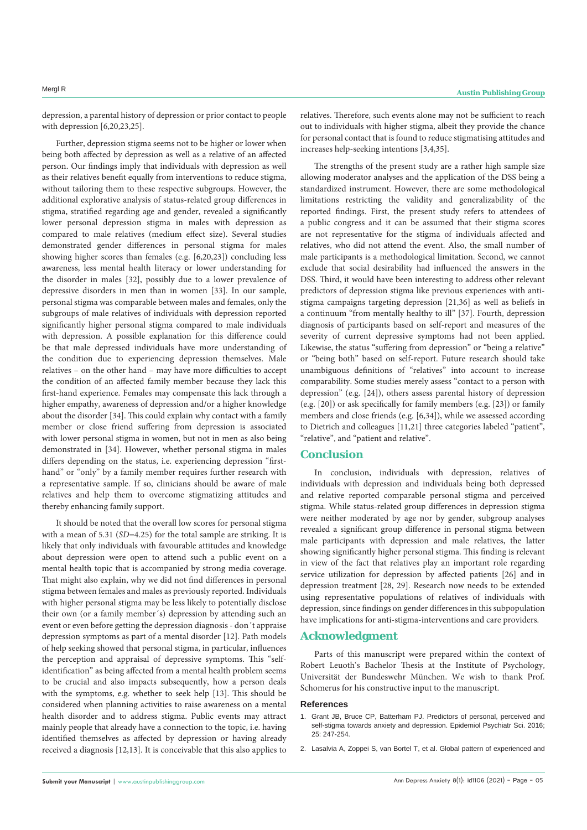depression, a parental history of depression or prior contact to people with depression [6,20,23,25].

Further, depression stigma seems not to be higher or lower when being both affected by depression as well as a relative of an affected person. Our findings imply that individuals with depression as well as their relatives benefit equally from interventions to reduce stigma, without tailoring them to these respective subgroups. However, the additional explorative analysis of status-related group differences in stigma, stratified regarding age and gender, revealed a significantly lower personal depression stigma in males with depression as compared to male relatives (medium effect size). Several studies demonstrated gender differences in personal stigma for males showing higher scores than females (e.g. [6,20,23]) concluding less awareness, less mental health literacy or lower understanding for the disorder in males [32], possibly due to a lower prevalence of depressive disorders in men than in women [33]. In our sample, personal stigma was comparable between males and females, only the subgroups of male relatives of individuals with depression reported significantly higher personal stigma compared to male individuals with depression. A possible explanation for this difference could be that male depressed individuals have more understanding of the condition due to experiencing depression themselves. Male relatives – on the other hand – may have more difficulties to accept the condition of an affected family member because they lack this first-hand experience. Females may compensate this lack through a higher empathy, awareness of depression and/or a higher knowledge about the disorder [34]. This could explain why contact with a family member or close friend suffering from depression is associated with lower personal stigma in women, but not in men as also being demonstrated in [34]. However, whether personal stigma in males differs depending on the status, i.e. experiencing depression "firsthand" or "only" by a family member requires further research with a representative sample. If so, clinicians should be aware of male relatives and help them to overcome stigmatizing attitudes and thereby enhancing family support.

It should be noted that the overall low scores for personal stigma with a mean of 5.31 (*SD*=4.25) for the total sample are striking. It is likely that only individuals with favourable attitudes and knowledge about depression were open to attend such a public event on a mental health topic that is accompanied by strong media coverage. That might also explain, why we did not find differences in personal stigma between females and males as previously reported. Individuals with higher personal stigma may be less likely to potentially disclose their own (or a family member´s) depression by attending such an event or even before getting the depression diagnosis - don´t appraise depression symptoms as part of a mental disorder [12]. Path models of help seeking showed that personal stigma, in particular, influences the perception and appraisal of depressive symptoms. This "selfidentification" as being affected from a mental health problem seems to be crucial and also impacts subsequently, how a person deals with the symptoms, e.g. whether to seek help [13]. This should be considered when planning activities to raise awareness on a mental health disorder and to address stigma. Public events may attract mainly people that already have a connection to the topic, i.e. having identified themselves as affected by depression or having already received a diagnosis [12,13]. It is conceivable that this also applies to

relatives. Therefore, such events alone may not be sufficient to reach out to individuals with higher stigma, albeit they provide the chance for personal contact that is found to reduce stigmatising attitudes and increases help-seeking intentions [3,4,35].

The strengths of the present study are a rather high sample size allowing moderator analyses and the application of the DSS being a standardized instrument. However, there are some methodological limitations restricting the validity and generalizability of the reported findings. First, the present study refers to attendees of a public congress and it can be assumed that their stigma scores are not representative for the stigma of individuals affected and relatives, who did not attend the event. Also, the small number of male participants is a methodological limitation. Second, we cannot exclude that social desirability had influenced the answers in the DSS. Third, it would have been interesting to address other relevant predictors of depression stigma like previous experiences with antistigma campaigns targeting depression [21,36] as well as beliefs in a continuum "from mentally healthy to ill" [37]. Fourth, depression diagnosis of participants based on self-report and measures of the severity of current depressive symptoms had not been applied. Likewise, the status "suffering from depression" or "being a relative" or "being both" based on self-report. Future research should take unambiguous definitions of "relatives" into account to increase comparability. Some studies merely assess "contact to a person with depression" (e.g. [24]), others assess parental history of depression (e.g. [20]) or ask specifically for family members (e.g. [23]) or family members and close friends (e.g. [6,34]), while we assessed according to Dietrich and colleagues [11,21] three categories labeled "patient", "relative", and "patient and relative".

### **Conclusion**

In conclusion, individuals with depression, relatives of individuals with depression and individuals being both depressed and relative reported comparable personal stigma and perceived stigma. While status-related group differences in depression stigma were neither moderated by age nor by gender, subgroup analyses revealed a significant group difference in personal stigma between male participants with depression and male relatives, the latter showing significantly higher personal stigma. This finding is relevant in view of the fact that relatives play an important role regarding service utilization for depression by affected patients [26] and in depression treatment [28, 29]. Research now needs to be extended using representative populations of relatives of individuals with depression, since findings on gender differences in this subpopulation have implications for anti-stigma-interventions and care providers.

#### **Acknowledgment**

Parts of this manuscript were prepared within the context of Robert Leuoth's Bachelor Thesis at the Institute of Psychology, Universität der Bundeswehr München. We wish to thank Prof. Schomerus for his constructive input to the manuscript.

#### **References**

- 1. [Grant JB, Bruce CP, Batterham PJ. Predictors of personal, perceived and](https://pubmed.ncbi.nlm.nih.gov/25791089/)  [self-stigma towards anxiety and depression. Epidemiol Psychiatr Sci. 2016;](https://pubmed.ncbi.nlm.nih.gov/25791089/)  [25: 247-254.](https://pubmed.ncbi.nlm.nih.gov/25791089/)
- 2. [Lasalvia A, Zoppei S, van Bortel T, et al. Global pattern of experienced and](https://pubmed.ncbi.nlm.nih.gov/23083627/)